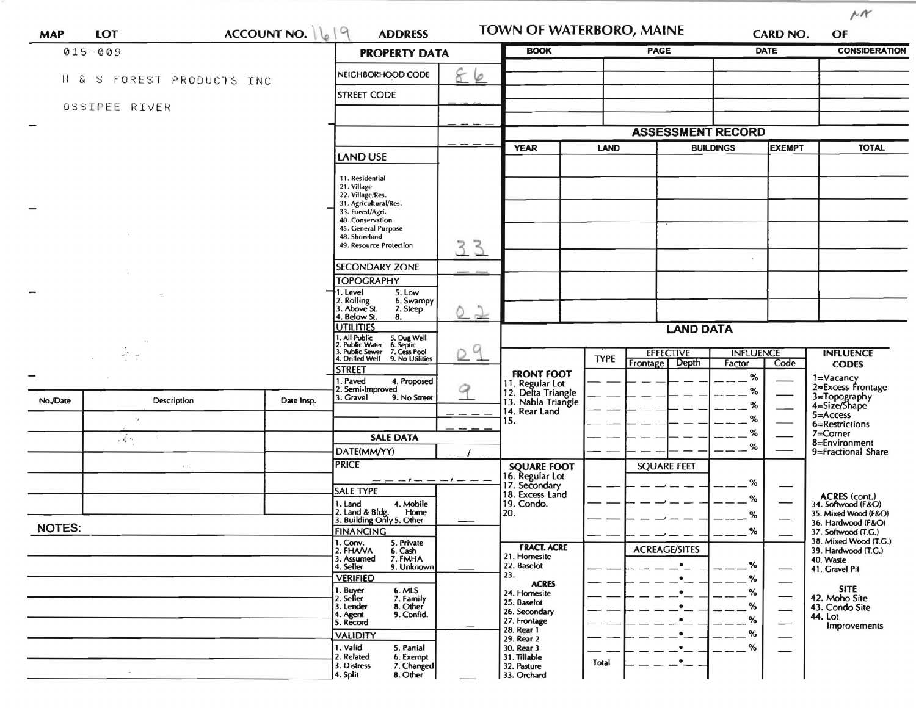| <b>MAP</b>               | LOT                   | <b>ACCOUNT NO.</b>   | $\Omega$<br>$\frac{1}{2}$<br><b>ADDRESS</b>                                               |                     | TOWN OF WATERBORO, MAINE                                    |             |                                    |                                   | <b>CARD NO.</b>      | OF                                           |
|--------------------------|-----------------------|----------------------|-------------------------------------------------------------------------------------------|---------------------|-------------------------------------------------------------|-------------|------------------------------------|-----------------------------------|----------------------|----------------------------------------------|
|                          | $015 - 009$           | <b>PROPERTY DATA</b> |                                                                                           | <b>BOOK</b>         |                                                             | <b>PAGE</b> |                                    | <b>DATE</b>                       | <b>CONSIDERATION</b> |                                              |
| Ηã                       | S FOREST PRODUCTS INC |                      | NEIGHBORHOOD CODE                                                                         | 86                  |                                                             |             |                                    |                                   |                      |                                              |
|                          |                       |                      | <b>STREET CODE</b>                                                                        |                     |                                                             |             |                                    |                                   |                      |                                              |
|                          | OSSIPEE RIVER         |                      |                                                                                           |                     |                                                             |             |                                    |                                   |                      |                                              |
| $\overline{\phantom{a}}$ |                       |                      |                                                                                           |                     |                                                             |             | <b>ASSESSMENT RECORD</b>           |                                   |                      |                                              |
|                          |                       |                      | <b>LAND USE</b>                                                                           |                     | <b>YEAR</b><br><b>LAND</b>                                  |             |                                    | <b>EXEMPT</b><br><b>BUILDINGS</b> |                      | <b>TOTAL</b>                                 |
|                          |                       |                      | 11. Residential                                                                           |                     |                                                             |             |                                    |                                   |                      |                                              |
|                          |                       |                      | 21. Village<br>22. Village/Res.                                                           |                     |                                                             |             |                                    |                                   |                      |                                              |
|                          |                       |                      | 31. Agricultural/Res.<br>33. Forest/Agri.                                                 |                     |                                                             |             |                                    |                                   |                      |                                              |
|                          |                       |                      | 40. Conservation<br>45. General Purpose<br>48. Shoreland                                  |                     |                                                             |             |                                    |                                   |                      |                                              |
|                          |                       |                      | 49. Resource Protection                                                                   | $\mathcal{S}$<br>3. |                                                             |             |                                    |                                   |                      |                                              |
|                          |                       |                      | <b>SECONDARY ZONE</b>                                                                     | - -                 |                                                             |             |                                    |                                   |                      |                                              |
|                          |                       |                      | <b>TOPOGRAPHY</b>                                                                         |                     |                                                             |             |                                    |                                   |                      |                                              |
|                          |                       |                      | 1. Level<br>5. Low<br>2. Rolling<br>3. Above St.<br>6. Swampy<br>7. Steep                 | 22                  |                                                             |             |                                    |                                   |                      |                                              |
|                          |                       |                      | 4. Below St.<br>8.<br><b>UTILITIES</b>                                                    |                     |                                                             |             | <b>LAND DATA</b>                   |                                   |                      |                                              |
|                          |                       |                      | . All Public<br>. Public Water<br>5. Dug Well<br>6. Septic<br>. Public Sewer 7. Cess Pool |                     |                                                             |             |                                    |                                   |                      |                                              |
|                          | $\omega_{\rm{eff}}$   |                      | 4. Drilled Well 9. No Utilities<br><b>STREET</b>                                          | 9<br>0              |                                                             | <b>TYPE</b> | <b>EFFECTIVE</b><br>Frontage Depth | <b>INFLUENCE</b><br>Factor        | Code                 | <b>INFLUENCE</b><br><b>CODES</b>             |
|                          |                       |                      | 1. Paved<br>4. Proposed                                                                   |                     | <b>FRONT FOOT</b>                                           |             |                                    | $\%$                              |                      | 1=Vacancy<br>2=Excess Frontage               |
| No./Date                 | Description           | Date Insp.           | 2. Semi-Improved<br>3. Gravel<br>9. No Street                                             |                     | 11. Regular Lot<br>12. Delta Triangle<br>13. Nabla Triangle |             |                                    | %<br>%                            |                      | 3=Topography<br>4=Size/Shape                 |
|                          | $\cdot$ ,             |                      |                                                                                           |                     | 14. Rear Land<br>15.                                        |             |                                    | %                                 |                      | $5 =$ Access                                 |
|                          | , $\vec{A}$ is        |                      | <b>SALE DATA</b>                                                                          |                     |                                                             |             |                                    | %                                 |                      | 6=Restrictions<br>7=Corner                   |
|                          |                       |                      | DATE(MM/YY)                                                                               |                     |                                                             |             |                                    | %                                 |                      | 8=Environment<br>9=Fractional Share          |
|                          | $\sim$ $\sim$         |                      | <b>PRICE</b>                                                                              |                     | <b>SQUARE FOOT</b><br>16. Regular Lot                       |             | <b>SQUARE FEET</b>                 |                                   |                      |                                              |
|                          |                       |                      | — — ! — — — ! —<br><b>SALE TYPE</b>                                                       |                     | 17. Secondary<br>18. Excess Land                            |             |                                    | %                                 |                      |                                              |
|                          |                       |                      | 1. Land<br>4. Mobile<br>Home                                                              |                     | 19. Condo.<br>20.                                           |             |                                    | %                                 |                      | ACRES (cont.)<br>34. Softwood (F&O)          |
| <b>NOTES:</b>            |                       |                      | 2. Land & Bldg. Home<br>3. Building Only 5. Other                                         |                     |                                                             |             |                                    | %                                 |                      | 35. Mixed Wood (F&O)<br>36. Hardwood (F&O)   |
|                          |                       |                      | <b>FINANCING</b><br>1. Conv.<br>2. FHAVA<br>5. Private                                    |                     | <b>FRACT. ACRE</b>                                          |             |                                    | %                                 |                      | 37. Softwood (T.G.)<br>38. Mixed Wood (T.G.) |
|                          |                       |                      | 6. Cash<br>7. FMHA<br>3. Assumed                                                          |                     | 21. Homesite<br>22. Baselot                                 |             | <b>ACREAGE/SITES</b>               | %                                 |                      | 39. Hardwood (T.G.)<br>40. Waste             |
|                          |                       |                      | 4. Seller<br>9. Unknown<br><b>VERIFIED</b>                                                |                     | 23.<br><b>ACRES</b>                                         |             | ٠                                  | %                                 |                      | 41. Gravel Pit                               |
|                          |                       |                      | 1. Buyer<br>6. MLS<br>2. Seller                                                           |                     | 24. Homesite<br>25. Baselot                                 |             |                                    | %                                 |                      | <b>SITE</b><br>42. Moho Site                 |
|                          |                       |                      | 7. Family<br>8. Other<br>3. Lender<br>4. Agent<br>9. Confid.                              |                     | 26. Secondary                                               |             | ٠                                  | $-$ %                             |                      | 43. Condo Site<br>44. Lot                    |
|                          |                       |                      | 5. Record<br><b>VALIDITY</b>                                                              |                     | 27. Frontage<br>28. Rear 1                                  |             | $\bullet$                          | $-$ %<br>%                        |                      | <b>Improvements</b>                          |
|                          |                       |                      | 1. Valid<br>5. Partial                                                                    |                     | 29. Rear 2<br>30. Rear 3                                    |             |                                    | %                                 |                      |                                              |
|                          |                       |                      | 2. Related<br>6. Exempt<br>3. Distress<br>7. Changed                                      |                     | 31. Tillable<br>32. Pasture                                 | Total       |                                    |                                   |                      |                                              |
|                          |                       |                      | 8. Other<br>4. Split                                                                      |                     | 33. Orchard                                                 |             |                                    |                                   |                      |                                              |

 $\mu$